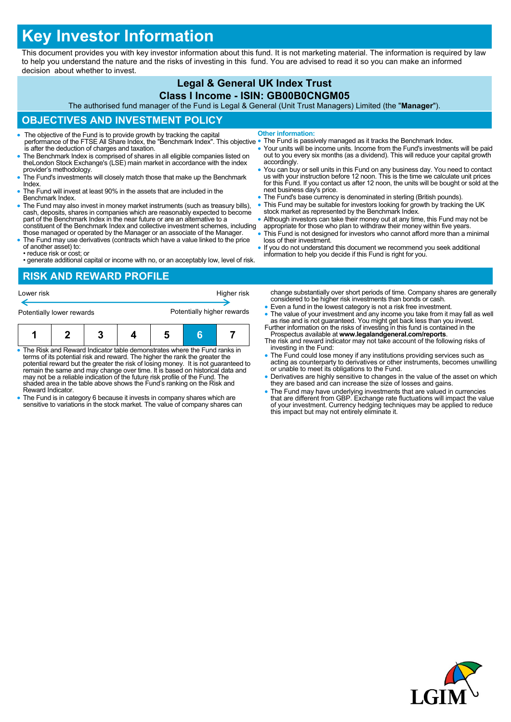# **Key Investor Information**

This document provides you with key investor information about this fund. It is not marketing material. The information is required by law to help you understand the nature and the risks of investing in this fund. You are advised to read it so you can make an informed decision about whether to invest.

### **Legal & General UK Index Trust Class I Income - ISIN: GB00B0CNGM05**

The authorised fund manager of the Fund is Legal & General (Unit Trust Managers) Limited (the "**Manager**").

## **OBJECTIVES AND INVESTMENT POLICY**

- The objective of the Fund is to provide growth by tracking the capital performance of the FTSE All Share Index, the "Benchmark Index". This objective is after the deduction of charges and taxation. **Other information:**
- The Benchmark Index is comprised of shares in all eligible companies listed on theLondon Stock Exchange's (LSE) main market in accordance with the index provider's methodology.
- The Fund's investments will closely match those that make up the Benchmark Index.
- The Fund will invest at least 90% in the assets that are included in the Benchmark Index.
- The Fund may also invest in money market instruments (such as treasury bills), cash, deposits, shares in companies which are reasonably expected to become part of the Benchmark Index in the near future or are an alternative to a constituent of the Benchmark Index and collective investment schemes, including
- those managed or operated by the Manager or an associate of the Manager. The Fund may use derivatives (contracts which have a value linked to the price of another asset) to:
- reduce risk or cost; or
- generate additional capital or income with no, or an acceptably low, level of risk.
- 
- The Fund is passively managed as it tracks the Benchmark Index. Your units will be income units. Income from the Fund's investments will be paid out to you every six months (as a dividend). This will reduce your capital growth accordingly. You can buy or sell units in this Fund on any business day. You need to contact us with your instruction before 12 noon. This is the time we calculate unit prices
- for this Fund. If you contact us after 12 noon, the units will be bought or sold at the next business day's price.
- The Fund's base currency is denominated in sterling (British pounds). This Fund may be suitable for investors looking for growth by tracking the UK
- stock market as represented by the Benchmark Index.
- Although investors can take their money out at any time, this Fund may not be appropriate for those who plan to withdraw their money within five years.
	- This Fund is not designed for investors who cannot afford more than a minimal loss of their investment.
	- If you do not understand this document we recommend you seek additional information to help you decide if this Fund is right for you.

# **RISK AND REWARD PROFILE**

| Lower risk                |  |  |  |                            |  | Higher risk |  |
|---------------------------|--|--|--|----------------------------|--|-------------|--|
| Potentially lower rewards |  |  |  | Potentially higher rewards |  |             |  |
|                           |  |  |  | b                          |  |             |  |

- The Risk and Reward Indicator table demonstrates where the Fund ranks in terms of its potential risk and reward. The higher the rank the greater the potential reward but the greater the risk of losing money. It is not guaranteed to remain the same and may change over time. It is based on historical data and may not be a reliable indication of the future risk profile of the Fund. The shaded area in the table above shows the Fund's ranking on the Risk and Reward Indicator.
- The Fund is in category 6 because it invests in company shares which are sensitive to variations in the stock market. The value of company shares can
- change substantially over short periods of time. Company shares are generally considered to be higher risk investments than bonds or cash.
- Even a fund in the lowest category is not a risk free investment.
- The value of your investment and any income you take from it may fall as well as rise and is not guaranteed. You might get back less than you invest. Further information on the risks of investing in this fund is containe
- Prospectus available at **www.legalandgeneral.com/reports**. The risk and reward indicator may not take account of the following risks of investing in the Fund:
- The Fund could lose money if any institutions providing services such as acting as counterparty to derivatives or other instruments, becomes unwilling or unable to meet its obligations to the Fund.
- Derivatives are highly sensitive to changes in the value of the asset on which they are based and can increase the size of losses and gains.
- The Fund may have underlying investments that are valued in currencies<br>that are different from GBP. Exchange rate fluctuations will impact the value<br>of your investment. Currency hedging techniques may be applied to reduc